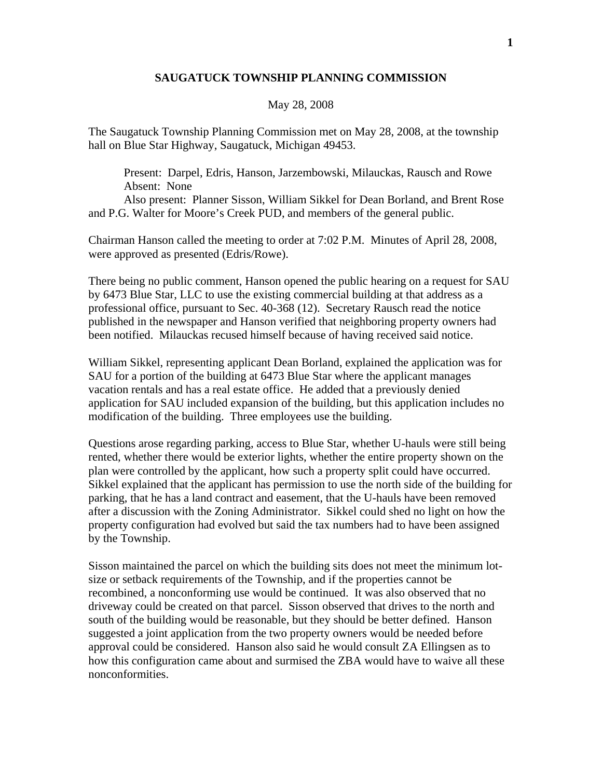## **SAUGATUCK TOWNSHIP PLANNING COMMISSION**

## May 28, 2008

The Saugatuck Township Planning Commission met on May 28, 2008, at the township hall on Blue Star Highway, Saugatuck, Michigan 49453.

 Present: Darpel, Edris, Hanson, Jarzembowski, Milauckas, Rausch and Rowe Absent: None

 Also present: Planner Sisson, William Sikkel for Dean Borland, and Brent Rose and P.G. Walter for Moore's Creek PUD, and members of the general public.

Chairman Hanson called the meeting to order at 7:02 P.M. Minutes of April 28, 2008, were approved as presented (Edris/Rowe).

There being no public comment, Hanson opened the public hearing on a request for SAU by 6473 Blue Star, LLC to use the existing commercial building at that address as a professional office, pursuant to Sec. 40-368 (12). Secretary Rausch read the notice published in the newspaper and Hanson verified that neighboring property owners had been notified. Milauckas recused himself because of having received said notice.

William Sikkel, representing applicant Dean Borland, explained the application was for SAU for a portion of the building at 6473 Blue Star where the applicant manages vacation rentals and has a real estate office. He added that a previously denied application for SAU included expansion of the building, but this application includes no modification of the building. Three employees use the building.

Questions arose regarding parking, access to Blue Star, whether U-hauls were still being rented, whether there would be exterior lights, whether the entire property shown on the plan were controlled by the applicant, how such a property split could have occurred. Sikkel explained that the applicant has permission to use the north side of the building for parking, that he has a land contract and easement, that the U-hauls have been removed after a discussion with the Zoning Administrator. Sikkel could shed no light on how the property configuration had evolved but said the tax numbers had to have been assigned by the Township.

Sisson maintained the parcel on which the building sits does not meet the minimum lotsize or setback requirements of the Township, and if the properties cannot be recombined, a nonconforming use would be continued. It was also observed that no driveway could be created on that parcel. Sisson observed that drives to the north and south of the building would be reasonable, but they should be better defined. Hanson suggested a joint application from the two property owners would be needed before approval could be considered. Hanson also said he would consult ZA Ellingsen as to how this configuration came about and surmised the ZBA would have to waive all these nonconformities.